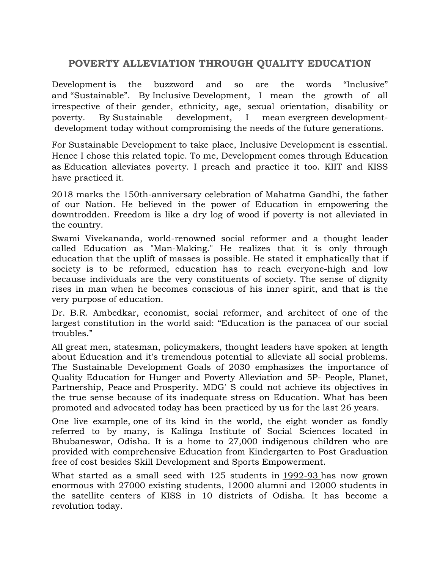## **POVERTY ALLEVIATION THROUGH QUALITY EDUCATION**

Development is the buzzword and so are the words "Inclusive" and "Sustainable". By Inclusive Development, I mean the growth of all irrespective of their gender, ethnicity, age, sexual orientation, disability or poverty. By Sustainable development, I mean evergreen developmentdevelopment today without compromising the needs of the future generations.

For Sustainable Development to take place, Inclusive Development is essential. Hence I chose this related topic. To me, Development comes through Education as Education alleviates poverty. I preach and practice it too. KIIT and KISS have practiced it.

2018 marks the 150th-anniversary celebration of Mahatma Gandhi, the father of our Nation. He believed in the power of Education in empowering the downtrodden. Freedom is like a dry log of wood if poverty is not alleviated in the country.

Swami Vivekananda, world-renowned social reformer and a thought leader called Education as "Man-Making." He realizes that it is only through education that the uplift of masses is possible. He stated it emphatically that if society is to be reformed, education has to reach everyone-high and low because individuals are the very constituents of society. The sense of dignity rises in man when he becomes conscious of his inner spirit, and that is the very purpose of education.

Dr. B.R. Ambedkar, economist, social reformer, and architect of one of the largest constitution in the world said: "Education is the panacea of our social troubles."

All great men, statesman, policymakers, thought leaders have spoken at length about Education and it's tremendous potential to alleviate all social problems. The Sustainable Development Goals of 2030 emphasizes the importance of Quality Education for Hunger and Poverty Alleviation and 5P- People, Planet, Partnership, Peace and Prosperity. MDG' S could not achieve its objectives in the true sense because of its inadequate stress on Education. What has been promoted and advocated today has been practiced by us for the last 26 years.

One live example, one of its kind in the world, the eight wonder as fondly referred to by many, is Kalinga Institute of Social Sciences located in Bhubaneswar, Odisha. It is a home to 27,000 indigenous children who are provided with comprehensive Education from Kindergarten to Post Graduation free of cost besides Skill Development and Sports Empowerment.

What started as a small seed with 125 students in [1992-93](about:blank) has now grown enormous with 27000 existing students, 12000 alumni and 12000 students in the satellite centers of KISS in 10 districts of Odisha. It has become a revolution today.